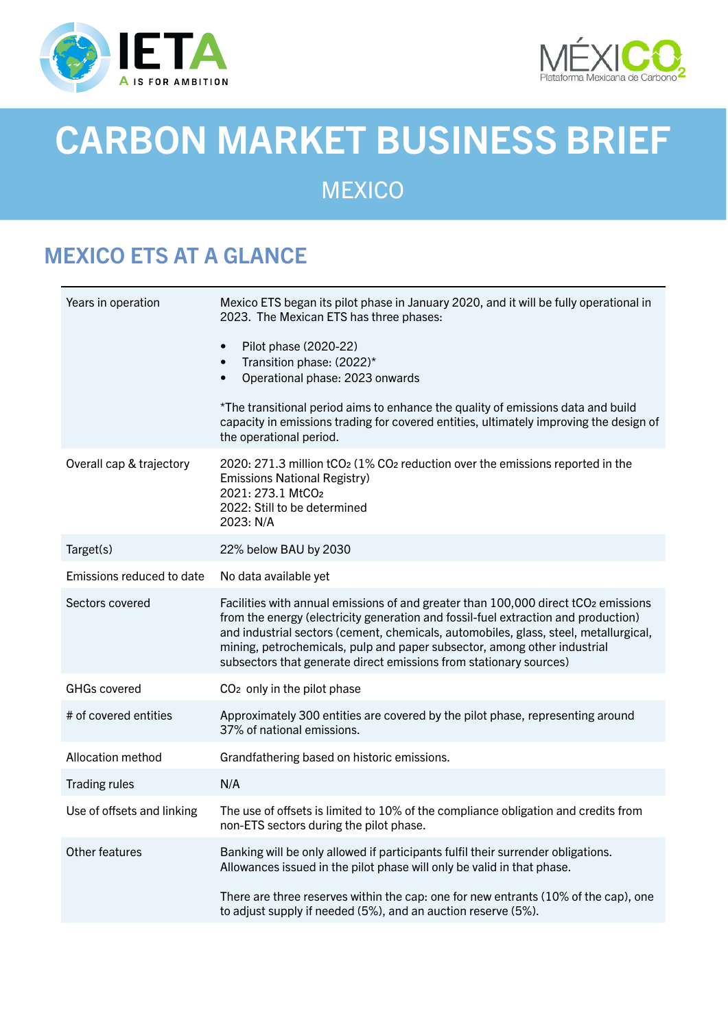



# CARBON MARKET BUSINESS BRIEF

**MEXICO** 

# MEXICO ETS AT A GLANCE

| Years in operation         | Mexico ETS began its pilot phase in January 2020, and it will be fully operational in<br>2023. The Mexican ETS has three phases:                                                                                                                                                                                                                                                                                   |
|----------------------------|--------------------------------------------------------------------------------------------------------------------------------------------------------------------------------------------------------------------------------------------------------------------------------------------------------------------------------------------------------------------------------------------------------------------|
|                            | Pilot phase (2020-22)<br>$\bullet$<br>Transition phase: (2022)*<br>$\bullet$<br>Operational phase: 2023 onwards<br>$\bullet$                                                                                                                                                                                                                                                                                       |
|                            | *The transitional period aims to enhance the quality of emissions data and build<br>capacity in emissions trading for covered entities, ultimately improving the design of<br>the operational period.                                                                                                                                                                                                              |
| Overall cap & trajectory   | 2020: 271.3 million tCO <sub>2</sub> (1% CO <sub>2</sub> reduction over the emissions reported in the<br><b>Emissions National Registry)</b><br>2021: 273.1 MtCO <sub>2</sub><br>2022: Still to be determined<br>2023: N/A                                                                                                                                                                                         |
| Target(s)                  | 22% below BAU by 2030                                                                                                                                                                                                                                                                                                                                                                                              |
| Emissions reduced to date  | No data available yet                                                                                                                                                                                                                                                                                                                                                                                              |
| Sectors covered            | Facilities with annual emissions of and greater than 100,000 direct tCO2 emissions<br>from the energy (electricity generation and fossil-fuel extraction and production)<br>and industrial sectors (cement, chemicals, automobiles, glass, steel, metallurgical,<br>mining, petrochemicals, pulp and paper subsector, among other industrial<br>subsectors that generate direct emissions from stationary sources) |
| <b>GHGs covered</b>        | CO <sub>2</sub> only in the pilot phase                                                                                                                                                                                                                                                                                                                                                                            |
| # of covered entities      | Approximately 300 entities are covered by the pilot phase, representing around<br>37% of national emissions.                                                                                                                                                                                                                                                                                                       |
| Allocation method          | Grandfathering based on historic emissions.                                                                                                                                                                                                                                                                                                                                                                        |
| <b>Trading rules</b>       | N/A                                                                                                                                                                                                                                                                                                                                                                                                                |
| Use of offsets and linking | The use of offsets is limited to 10% of the compliance obligation and credits from<br>non-ETS sectors during the pilot phase.                                                                                                                                                                                                                                                                                      |
| Other features             | Banking will be only allowed if participants fulfil their surrender obligations.<br>Allowances issued in the pilot phase will only be valid in that phase.                                                                                                                                                                                                                                                         |
|                            | There are three reserves within the cap: one for new entrants (10% of the cap), one<br>to adjust supply if needed (5%), and an auction reserve (5%).                                                                                                                                                                                                                                                               |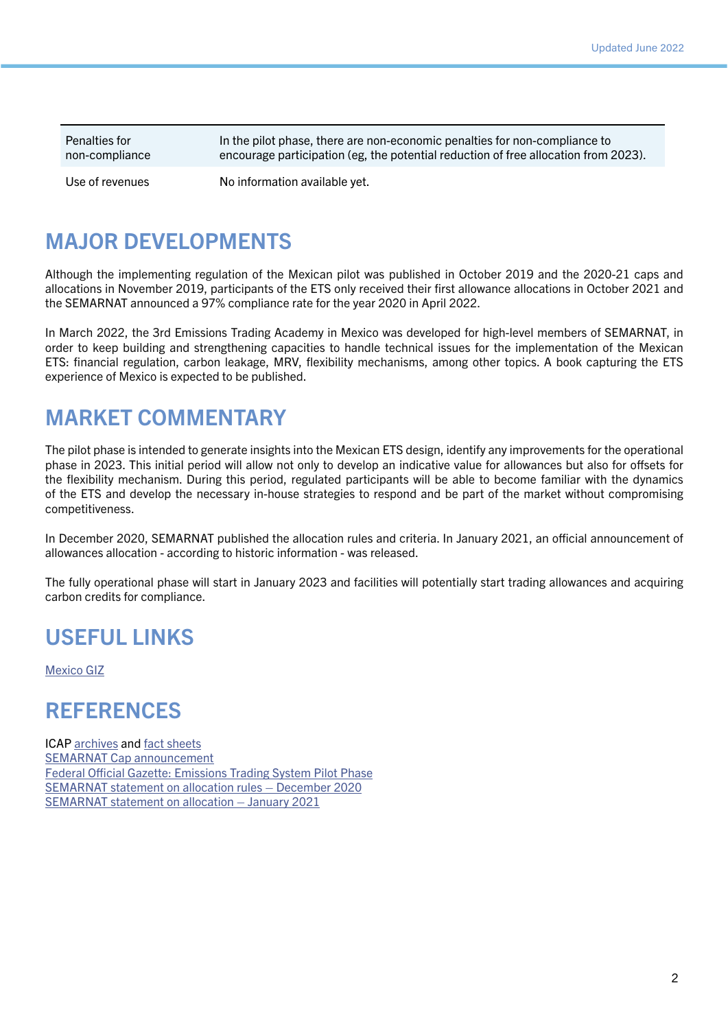Penalties for non-compliance

In the pilot phase, there are non-economic penalties for non-compliance to encourage participation (eg, the potential reduction of free allocation from 2023).

Use of revenues No information available yet.

#### MAJOR DEVELOPMENTS

Although the implementing regulation of the Mexican pilot was published in October 2019 and the 2020-21 caps and allocations in November 2019, participants of the ETS only received their first allowance allocations in October 2021 and the SEMARNAT announced a 97% compliance rate for the year 2020 in April 2022.

In March 2022, the 3rd Emissions Trading Academy in Mexico was developed for high-level members of SEMARNAT, in order to keep building and strengthening capacities to handle technical issues for the implementation of the Mexican ETS: financial regulation, carbon leakage, MRV, flexibility mechanisms, among other topics. A book capturing the ETS experience of Mexico is expected to be published.

#### MARKET COMMENTARY

The pilot phase is intended to generate insights into the Mexican ETS design, identify any improvements for the operational phase in 2023. This initial period will allow not only to develop an indicative value for allowances but also for offsets for the flexibility mechanism. During this period, regulated participants will be able to become familiar with the dynamics of the ETS and develop the necessary in-house strategies to respond and be part of the market without compromising competitiveness.

In December 2020, SEMARNAT published the allocation rules and criteria. In January 2021, an official announcement of allowances allocation - according to historic information - was released.

The fully operational phase will start in January 2023 and facilities will potentially start trading allowances and acquiring carbon credits for compliance.

### USEFUL LINKS

[Mexico GIZ](https://www.giz.de/en/worldwide/68789.html)

#### **REFERENCES**

ICAP [archives](https://icapcarbonaction.com/en/news-archive/677-mexico-publishes-cap-for-its-ets-pilot-phase) and [fact sheets](https://icapcarbonaction.com/en/?option=com_etsmap&task=export&format=pdf&layout=list&systems%5b%5d=59) [SEMARNAT Cap announcement](https://www.gob.mx/cms/uploads/attachment/file/513702/Aviso_Tope.pdf) [Federal Official Gazette: Emissions Trading System Pilot Phase](https://www.dof.gob.mx/nota_detalle.php?codigo=5573934&fecha=01/10/2019) [SEMARNAT statement on allocation rules – December 2020](https://www.gob.mx/cms/uploads/attachment/file/600718/Aviso-Reglas-Criterios-de-Asignacion-SCE.pdf) [SEMARNAT statement on allocation – January 2021](https://www.gob.mx/cms/uploads/attachment/file/606638/Aviso-Sistema-de-Seguimiento.pdf)